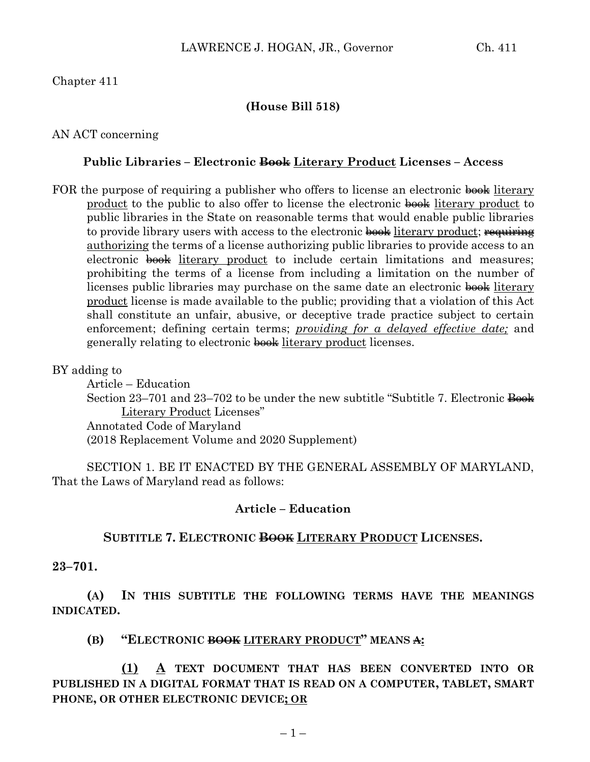# Chapter 411

## **(House Bill 518)**

### AN ACT concerning

### **Public Libraries – Electronic Book Literary Product Licenses – Access**

FOR the purpose of requiring a publisher who offers to license an electronic book literary product to the public to also offer to license the electronic book literary product to public libraries in the State on reasonable terms that would enable public libraries to provide library users with access to the electronic book literary product; requiring authorizing the terms of a license authorizing public libraries to provide access to an electronic book literary product to include certain limitations and measures; prohibiting the terms of a license from including a limitation on the number of licenses public libraries may purchase on the same date an electronic book literary product license is made available to the public; providing that a violation of this Act shall constitute an unfair, abusive, or deceptive trade practice subject to certain enforcement; defining certain terms; *providing for a delayed effective date;* and generally relating to electronic book literary product licenses.

### BY adding to

Article – Education Section 23–701 and 23–702 to be under the new subtitle "Subtitle 7. Electronic  $\frac{3}{2}$ Literary Product Licenses" Annotated Code of Maryland (2018 Replacement Volume and 2020 Supplement)

SECTION 1. BE IT ENACTED BY THE GENERAL ASSEMBLY OF MARYLAND, That the Laws of Maryland read as follows:

### **Article – Education**

### **SUBTITLE 7. ELECTRONIC BOOK LITERARY PRODUCT LICENSES.**

#### **23–701.**

**(A) IN THIS SUBTITLE THE FOLLOWING TERMS HAVE THE MEANINGS INDICATED.**

**(B) "ELECTRONIC BOOK LITERARY PRODUCT" MEANS A:**

**(1) A TEXT DOCUMENT THAT HAS BEEN CONVERTED INTO OR PUBLISHED IN A DIGITAL FORMAT THAT IS READ ON A COMPUTER, TABLET, SMART PHONE, OR OTHER ELECTRONIC DEVICE; OR**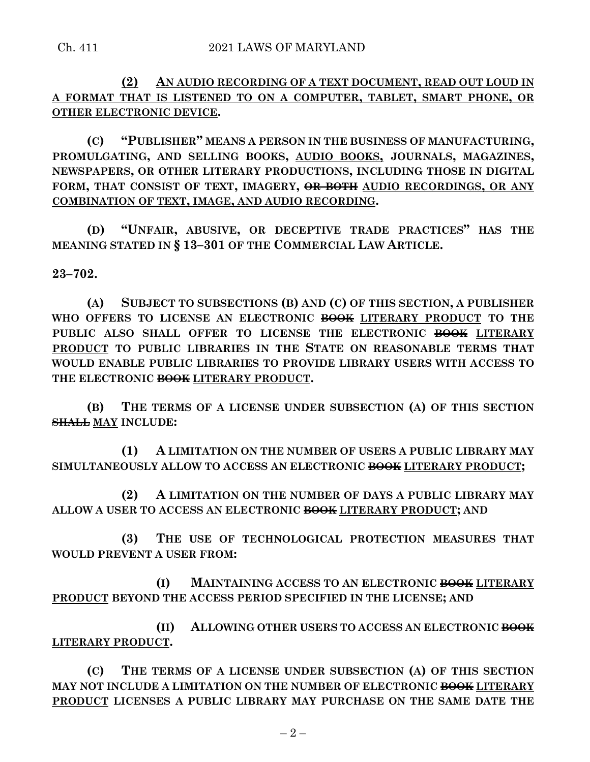**(2) AN AUDIO RECORDING OF A TEXT DOCUMENT, READ OUT LOUD IN A FORMAT THAT IS LISTENED TO ON A COMPUTER, TABLET, SMART PHONE, OR OTHER ELECTRONIC DEVICE.**

**(C) "PUBLISHER" MEANS A PERSON IN THE BUSINESS OF MANUFACTURING, PROMULGATING, AND SELLING BOOKS, AUDIO BOOKS, JOURNALS, MAGAZINES, NEWSPAPERS, OR OTHER LITERARY PRODUCTIONS, INCLUDING THOSE IN DIGITAL FORM, THAT CONSIST OF TEXT, IMAGERY, OR BOTH AUDIO RECORDINGS, OR ANY COMBINATION OF TEXT, IMAGE, AND AUDIO RECORDING.**

**(D) "UNFAIR, ABUSIVE, OR DECEPTIVE TRADE PRACTICES" HAS THE MEANING STATED IN § 13–301 OF THE COMMERCIAL LAW ARTICLE.**

**23–702.**

**(A) SUBJECT TO SUBSECTIONS (B) AND (C) OF THIS SECTION, A PUBLISHER**  WHO OFFERS TO LICENSE AN ELECTRONIC BOOK LITERARY PRODUCT TO THE **PUBLIC ALSO SHALL OFFER TO LICENSE THE ELECTRONIC BOOK LITERARY PRODUCT TO PUBLIC LIBRARIES IN THE STATE ON REASONABLE TERMS THAT WOULD ENABLE PUBLIC LIBRARIES TO PROVIDE LIBRARY USERS WITH ACCESS TO THE ELECTRONIC BOOK LITERARY PRODUCT.**

**(B) THE TERMS OF A LICENSE UNDER SUBSECTION (A) OF THIS SECTION SHALL MAY INCLUDE:**

**(1) A LIMITATION ON THE NUMBER OF USERS A PUBLIC LIBRARY MAY SIMULTANEOUSLY ALLOW TO ACCESS AN ELECTRONIC BOOK LITERARY PRODUCT;**

**(2) A LIMITATION ON THE NUMBER OF DAYS A PUBLIC LIBRARY MAY ALLOW A USER TO ACCESS AN ELECTRONIC BOOK LITERARY PRODUCT; AND**

**(3) THE USE OF TECHNOLOGICAL PROTECTION MEASURES THAT WOULD PREVENT A USER FROM:**

**(I) MAINTAINING ACCESS TO AN ELECTRONIC BOOK LITERARY PRODUCT BEYOND THE ACCESS PERIOD SPECIFIED IN THE LICENSE; AND**

**(II) ALLOWING OTHER USERS TO ACCESS AN ELECTRONIC BOOK LITERARY PRODUCT.**

**(C) THE TERMS OF A LICENSE UNDER SUBSECTION (A) OF THIS SECTION MAY NOT INCLUDE A LIMITATION ON THE NUMBER OF ELECTRONIC BOOK LITERARY PRODUCT LICENSES A PUBLIC LIBRARY MAY PURCHASE ON THE SAME DATE THE**